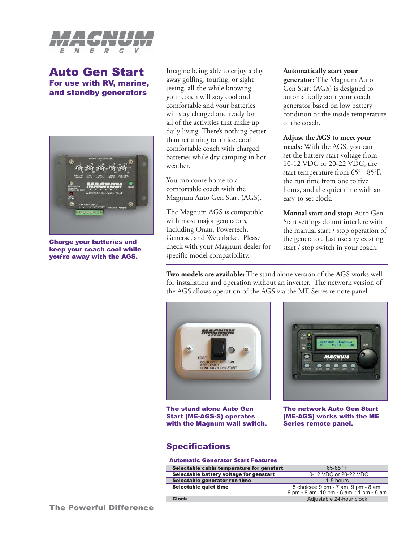

# Auto Gen Start For use with RV, marine, and standby generators



Charge your batteries and keep your coach cool while you're away with the AGS.

Imagine being able to enjoy a day away golfing, touring, or sight seeing, all-the-while knowing your coach will stay cool and comfortable and your batteries will stay charged and ready for all of the activities that make up daily living. There's nothing better than returning to a nice, cool comfortable coach with charged batteries while dry camping in hot weather.

You can come home to a comfortable coach with the Magnum Auto Gen Start (AGS).

The Magnum AGS is compatible with most major generators, including Onan, Powertech, Generac, and Weterbeke. Please check with your Magnum dealer for specific model compatibility.

### **Automatically start your**

**generator:** The Magnum Auto Gen Start (AGS) is designed to automatically start your coach generator based on low battery condition or the inside temperature of the coach.

### **Adjust the AGS to meet your**

**needs:** With the AGS, you can set the battery start voltage from 10-12 VDC or 20-22 VDC, the start temperature from 65° - 85°F, the run time from one to five hours, and the quiet time with an easy-to-set clock.

**Manual start and stop:** Auto Gen Start settings do not interfere with the manual start / stop operation of the generator. Just use any existing start / stop switch in your coach.

**Two models are available:** The stand alone version of the AGS works well for installation and operation without an inverter. The network version of the AGS allows operation of the AGS via the ME Series remote panel.



The stand alone Auto Gen Start (ME-AGS-S) operates with the Magnum wall switch.



The network Auto Gen Start (ME-AGS) works with the ME Series remote panel.

# Specifications

#### Automatic Generator Start Features

| <u>and continued to security in the continuum of the continuum of the continuum of the continuum of the continuum of the continuum of the continuum of the continuum of the continuum of the continuum of the continuum of the c</u> |                                         |
|--------------------------------------------------------------------------------------------------------------------------------------------------------------------------------------------------------------------------------------|-----------------------------------------|
| Selectable cabin temperature for genstart                                                                                                                                                                                            | $65-85$ °F                              |
| Selectable battery voltage for genstart                                                                                                                                                                                              | 10-12 VDC or 20-22 VDC                  |
| Selectable generator run time                                                                                                                                                                                                        | 1-5 hours                               |
| Selectable quiet time                                                                                                                                                                                                                | 5 choices: 9 pm - 7 am, 9 pm - 8 am,    |
|                                                                                                                                                                                                                                      | 9 pm - 9 am, 10 pm - 8 am, 11 pm - 8 am |
| <b>Clock</b>                                                                                                                                                                                                                         | Adjustable 24-hour clock                |